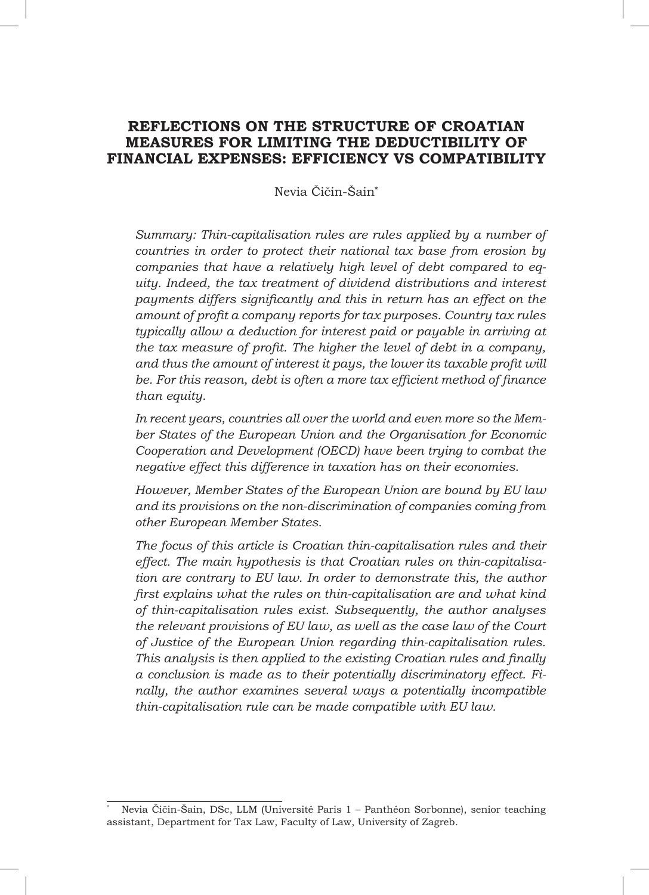# **REFLECTIONS ON THE STRUCTURE OF CROATIAN MEASURES FOR LIMITING THE DEDUCTIBILITY OF FINANCIAL EXPENSES: EFFICIENCY VS COMPATIBILITY**

Nevia Čičin-Šain**\***

*Summary: Thin-capitalisation rules are rules applied by a number of countries in order to protect their national tax base from erosion by companies that have a relatively high level of debt compared to equity. Indeed, the tax treatment of dividend distributions and interest payments differs significantly and this in return has an effect on the amount of profit a company reports for tax purposes. Country tax rules typically allow a deduction for interest paid or payable in arriving at the tax measure of profit. The higher the level of debt in a company, and thus the amount of interest it pays, the lower its taxable profit will be. For this reason, debt is often a more tax efficient method of finance than equity.* 

*In recent years, countries all over the world and even more so the Member States of the European Union and the Organisation for Economic Cooperation and Development (OECD) have been trying to combat the negative effect this difference in taxation has on their economies.*

*However, Member States of the European Union are bound by EU law and its provisions on the non-discrimination of companies coming from other European Member States.*

*The focus of this article is Croatian thin-capitalisation rules and their effect. The main hypothesis is that Croatian rules on thin-capitalisation are contrary to EU law. In order to demonstrate this, the author first explains what the rules on thin-capitalisation are and what kind of thin-capitalisation rules exist. Subsequently, the author analyses the relevant provisions of EU law, as well as the case law of the Court of Justice of the European Union regarding thin-capitalisation rules. This analysis is then applied to the existing Croatian rules and finally a conclusion is made as to their potentially discriminatory effect. Finally, the author examines several ways a potentially incompatible thin-capitalisation rule can be made compatible with EU law.*

Nevia Čičin-Šain, DSc, LLM (Université Paris 1 – Panthéon Sorbonne), senior teaching assistant, Department for Tax Law, Faculty of Law, University of Zagreb.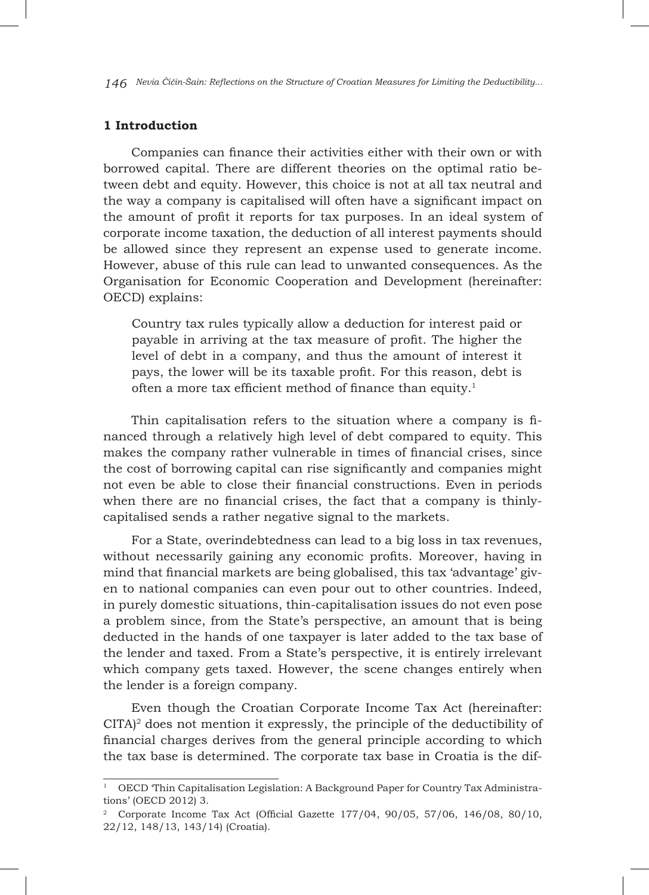*146 Nevia Čičin-Šain: Reflections on the Structure of Croatian Measures for Limiting the Deductibility...*

#### **1 Introduction**

Companies can finance their activities either with their own or with borrowed capital. There are different theories on the optimal ratio between debt and equity. However, this choice is not at all tax neutral and the way a company is capitalised will often have a significant impact on the amount of profit it reports for tax purposes. In an ideal system of corporate income taxation, the deduction of all interest payments should be allowed since they represent an expense used to generate income. However, abuse of this rule can lead to unwanted consequences. As the Organisation for Economic Cooperation and Development (hereinafter: OECD) explains:

Country tax rules typically allow a deduction for interest paid or payable in arriving at the tax measure of profit. The higher the level of debt in a company, and thus the amount of interest it pays, the lower will be its taxable profit. For this reason, debt is often a more tax efficient method of finance than equity.<sup>1</sup>

Thin capitalisation refers to the situation where a company is financed through a relatively high level of debt compared to equity. This makes the company rather vulnerable in times of financial crises, since the cost of borrowing capital can rise significantly and companies might not even be able to close their financial constructions. Even in periods when there are no financial crises, the fact that a company is thinlycapitalised sends a rather negative signal to the markets.

For a State, overindebtedness can lead to a big loss in tax revenues, without necessarily gaining any economic profits. Moreover, having in mind that financial markets are being globalised, this tax 'advantage' given to national companies can even pour out to other countries. Indeed, in purely domestic situations, thin-capitalisation issues do not even pose a problem since, from the State's perspective, an amount that is being deducted in the hands of one taxpayer is later added to the tax base of the lender and taxed. From a State's perspective, it is entirely irrelevant which company gets taxed. However, the scene changes entirely when the lender is a foreign company.

Even though the Croatian Corporate Income Tax Act (hereinafter: CITA)2 does not mention it expressly, the principle of the deductibility of financial charges derives from the general principle according to which the tax base is determined. The corporate tax base in Croatia is the dif-

 $1$  OECD Thin Capitalisation Legislation: A Background Paper for Country Tax Administrations' (OECD 2012) 3.

<sup>&</sup>lt;sup>2</sup> Corporate Income Tax Act (Official Gazette  $177/04$ ,  $90/05$ ,  $57/06$ ,  $146/08$ ,  $80/10$ , 22/12, 148/13, 143/14) (Croatia).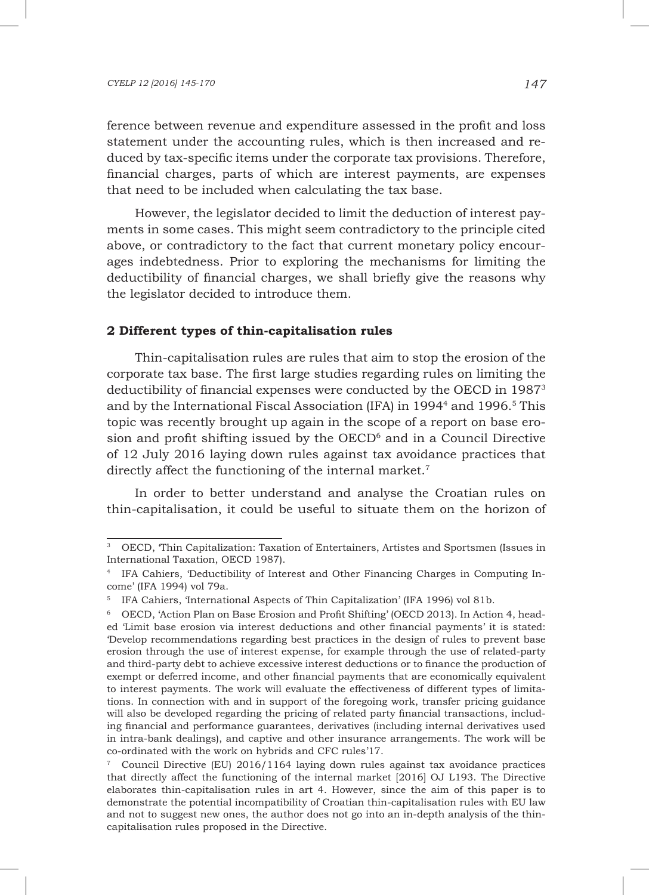ference between revenue and expenditure assessed in the profit and loss statement under the accounting rules, which is then increased and reduced by tax-specific items under the corporate tax provisions. Therefore, financial charges, parts of which are interest payments, are expenses that need to be included when calculating the tax base.

However, the legislator decided to limit the deduction of interest payments in some cases. This might seem contradictory to the principle cited above, or contradictory to the fact that current monetary policy encourages indebtedness. Prior to exploring the mechanisms for limiting the deductibility of financial charges, we shall briefly give the reasons why the legislator decided to introduce them.

#### **2 Different types of thin-capitalisation rules**

Thin-capitalisation rules are rules that aim to stop the erosion of the corporate tax base. The first large studies regarding rules on limiting the deductibility of financial expenses were conducted by the OECD in 19873 and by the International Fiscal Association (IFA) in  $1994<sup>4</sup>$  and  $1996<sup>5</sup>$  This topic was recently brought up again in the scope of a report on base erosion and profit shifting issued by the  $OECD<sup>6</sup>$  and in a Council Directive of 12 July 2016 laying down rules against tax avoidance practices that directly affect the functioning of the internal market.<sup>7</sup>

In order to better understand and analyse the Croatian rules on thin-capitalisation, it could be useful to situate them on the horizon of

<sup>3</sup> OECD, 'Thin Capitalization: Taxation of Entertainers, Artistes and Sportsmen (Issues in International Taxation, OECD 1987).

<sup>4</sup> IFA Cahiers, 'Deductibility of Interest and Other Financing Charges in Computing Income' (IFA 1994) vol 79a.

<sup>&</sup>lt;sup>5</sup> IFA Cahiers, 'International Aspects of Thin Capitalization' (IFA 1996) vol 81b.

<sup>6</sup> OECD, 'Action Plan on Base Erosion and Profit Shifting' (OECD 2013). In Action 4, headed 'Limit base erosion via interest deductions and other financial payments' it is stated: 'Develop recommendations regarding best practices in the design of rules to prevent base erosion through the use of interest expense, for example through the use of related-party and third-party debt to achieve excessive interest deductions or to finance the production of exempt or deferred income, and other financial payments that are economically equivalent to interest payments. The work will evaluate the effectiveness of different types of limitations. In connection with and in support of the foregoing work, transfer pricing guidance will also be developed regarding the pricing of related party financial transactions, including financial and performance guarantees, derivatives (including internal derivatives used in intra-bank dealings), and captive and other insurance arrangements. The work will be co-ordinated with the work on hybrids and CFC rules'17.

<sup>7</sup> Council Directive (EU) 2016/1164 laying down rules against tax avoidance practices that directly affect the functioning of the internal market [2016] OJ L193. The Directive elaborates thin-capitalisation rules in art 4. However, since the aim of this paper is to demonstrate the potential incompatibility of Croatian thin-capitalisation rules with EU law and not to suggest new ones, the author does not go into an in-depth analysis of the thincapitalisation rules proposed in the Directive.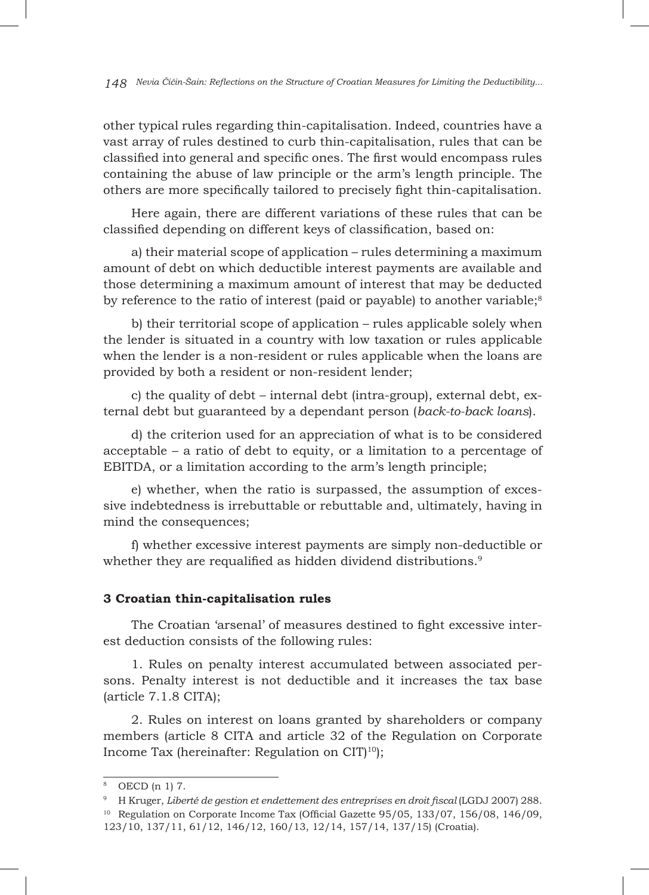other typical rules regarding thin-capitalisation. Indeed, countries have a vast array of rules destined to curb thin-capitalisation, rules that can be classified into general and specific ones. The first would encompass rules containing the abuse of law principle or the arm's length principle. The others are more specifically tailored to precisely fight thin-capitalisation.

Here again, there are different variations of these rules that can be classified depending on different keys of classification, based on:

a) their material scope of application – rules determining a maximum amount of debt on which deductible interest payments are available and those determining a maximum amount of interest that may be deducted by reference to the ratio of interest (paid or payable) to another variable; $^8$ 

b) their territorial scope of application – rules applicable solely when the lender is situated in a country with low taxation or rules applicable when the lender is a non-resident or rules applicable when the loans are provided by both a resident or non-resident lender;

c) the quality of debt – internal debt (intra-group), external debt, external debt but guaranteed by a dependant person (*back-to-back loans*).

d) the criterion used for an appreciation of what is to be considered acceptable – a ratio of debt to equity, or a limitation to a percentage of EBITDA, or a limitation according to the arm's length principle;

e) whether, when the ratio is surpassed, the assumption of excessive indebtedness is irrebuttable or rebuttable and, ultimately, having in mind the consequences;

f) whether excessive interest payments are simply non-deductible or whether they are requalified as hidden dividend distributions.<sup>9</sup>

#### **3 Croatian thin-capitalisation rules**

The Croatian 'arsenal' of measures destined to fight excessive interest deduction consists of the following rules:

1. Rules on penalty interest accumulated between associated persons. Penalty interest is not deductible and it increases the tax base (article 7.1.8 CITA);

2. Rules on interest on loans granted by shareholders or company members (article 8 CITA and article 32 of the Regulation on Corporate Income Tax (hereinafter: Regulation on CIT $10$ );

OECD (n 1) 7.

<sup>&</sup>lt;sup>9</sup> H Kruger, *Liberté de gestion et endettement des entreprises en droit fiscal* (LGDJ 2007) 288. <sup>10</sup> Regulation on Corporate Income Tax (Official Gazette 95/05, 133/07, 156/08, 146/09,

<sup>123/10, 137/11, 61/12, 146/12, 160/13, 12/14, 157/14, 137/15) (</sup>Croatia).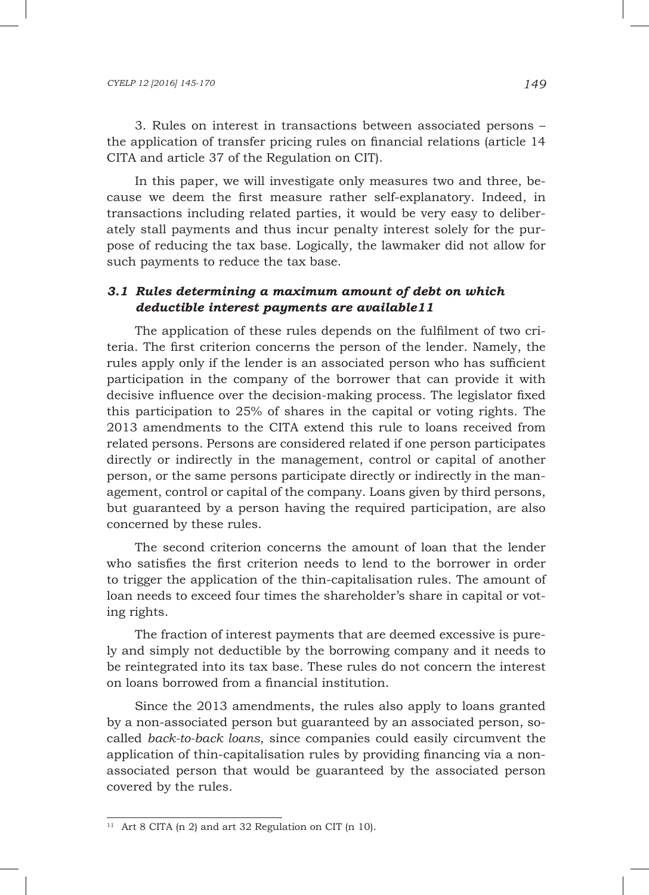3. Rules on interest in transactions between associated persons – the application of transfer pricing rules on financial relations (article 14 CITA and article 37 of the Regulation on CIT).

In this paper, we will investigate only measures two and three, because we deem the first measure rather self-explanatory. Indeed, in transactions including related parties, it would be very easy to deliberately stall payments and thus incur penalty interest solely for the purpose of reducing the tax base. Logically, the lawmaker did not allow for such payments to reduce the tax base.

# *3.1 Rules determining a maximum amount of debt on which deductible interest payments are available11*

The application of these rules depends on the fulfilment of two criteria. The first criterion concerns the person of the lender. Namely, the rules apply only if the lender is an associated person who has sufficient participation in the company of the borrower that can provide it with decisive influence over the decision-making process. The legislator fixed this participation to 25% of shares in the capital or voting rights. The 2013 amendments to the CITA extend this rule to loans received from related persons. Persons are considered related if one person participates directly or indirectly in the management, control or capital of another person, or the same persons participate directly or indirectly in the management, control or capital of the company. Loans given by third persons, but guaranteed by a person having the required participation, are also concerned by these rules.

The second criterion concerns the amount of loan that the lender who satisfies the first criterion needs to lend to the borrower in order to trigger the application of the thin-capitalisation rules. The amount of loan needs to exceed four times the shareholder's share in capital or voting rights.

The fraction of interest payments that are deemed excessive is purely and simply not deductible by the borrowing company and it needs to be reintegrated into its tax base. These rules do not concern the interest on loans borrowed from a financial institution.

Since the 2013 amendments, the rules also apply to loans granted by a non-associated person but guaranteed by an associated person, socalled *back-to-back loans*, since companies could easily circumvent the application of thin-capitalisation rules by providing financing via a nonassociated person that would be guaranteed by the associated person covered by the rules.

<sup>&</sup>lt;sup>11</sup> Art 8 CITA (n 2) and art 32 Regulation on CIT (n 10).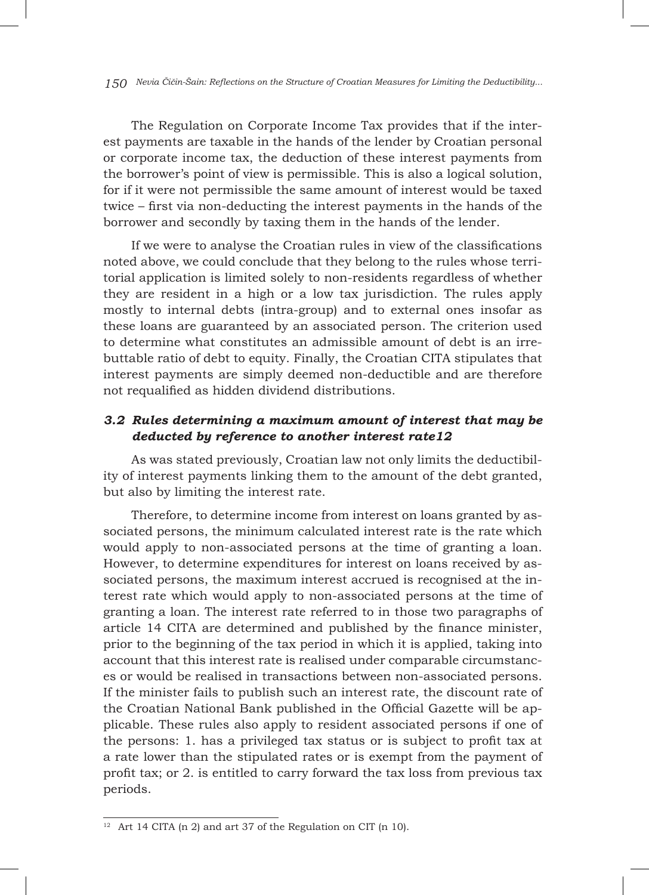*150 Nevia Čičin-Šain: Reflections on the Structure of Croatian Measures for Limiting the Deductibility...*

The Regulation on Corporate Income Tax provides that if the interest payments are taxable in the hands of the lender by Croatian personal or corporate income tax, the deduction of these interest payments from the borrower's point of view is permissible. This is also a logical solution, for if it were not permissible the same amount of interest would be taxed twice – first via non-deducting the interest payments in the hands of the borrower and secondly by taxing them in the hands of the lender.

If we were to analyse the Croatian rules in view of the classifications noted above, we could conclude that they belong to the rules whose territorial application is limited solely to non-residents regardless of whether they are resident in a high or a low tax jurisdiction. The rules apply mostly to internal debts (intra-group) and to external ones insofar as these loans are guaranteed by an associated person. The criterion used to determine what constitutes an admissible amount of debt is an irrebuttable ratio of debt to equity. Finally, the Croatian CITA stipulates that interest payments are simply deemed non-deductible and are therefore not requalified as hidden dividend distributions.

# *3.2 Rules determining a maximum amount of interest that may be deducted by reference to another interest rate12*

As was stated previously, Croatian law not only limits the deductibility of interest payments linking them to the amount of the debt granted, but also by limiting the interest rate.

Therefore, to determine income from interest on loans granted by associated persons, the minimum calculated interest rate is the rate which would apply to non-associated persons at the time of granting a loan. However, to determine expenditures for interest on loans received by associated persons, the maximum interest accrued is recognised at the interest rate which would apply to non-associated persons at the time of granting a loan. The interest rate referred to in those two paragraphs of article 14 CITA are determined and published by the finance minister, prior to the beginning of the tax period in which it is applied, taking into account that this interest rate is realised under comparable circumstances or would be realised in transactions between non-associated persons. If the minister fails to publish such an interest rate, the discount rate of the Croatian National Bank published in the Official Gazette will be applicable. These rules also apply to resident associated persons if one of the persons: 1. has a privileged tax status or is subject to profit tax at a rate lower than the stipulated rates or is exempt from the payment of profit tax; or 2. is entitled to carry forward the tax loss from previous tax periods.

 $12$  Art 14 CITA (n 2) and art 37 of the Regulation on CIT (n 10).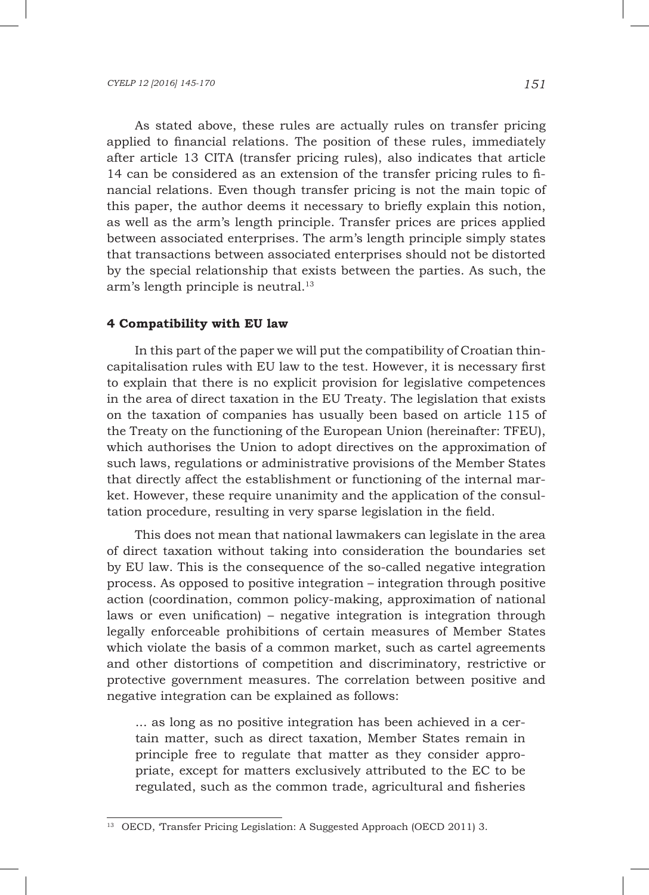As stated above, these rules are actually rules on transfer pricing applied to financial relations. The position of these rules, immediately after article 13 CITA (transfer pricing rules), also indicates that article 14 can be considered as an extension of the transfer pricing rules to financial relations. Even though transfer pricing is not the main topic of this paper, the author deems it necessary to briefly explain this notion, as well as the arm's length principle. Transfer prices are prices applied between associated enterprises. The arm's length principle simply states that transactions between associated enterprises should not be distorted by the special relationship that exists between the parties. As such, the arm's length principle is neutral.<sup>13</sup>

#### **4 Compatibility with EU law**

In this part of the paper we will put the compatibility of Croatian thincapitalisation rules with EU law to the test. However, it is necessary first to explain that there is no explicit provision for legislative competences in the area of direct taxation in the EU Treaty. The legislation that exists on the taxation of companies has usually been based on article 115 of the Treaty on the functioning of the European Union (hereinafter: TFEU), which authorises the Union to adopt directives on the approximation of such laws, regulations or administrative provisions of the Member States that directly affect the establishment or functioning of the internal market. However, these require unanimity and the application of the consultation procedure, resulting in very sparse legislation in the field.

This does not mean that national lawmakers can legislate in the area of direct taxation without taking into consideration the boundaries set by EU law. This is the consequence of the so-called negative integration process. As opposed to positive integration – integration through positive action (coordination, common policy-making, approximation of national laws or even unification) – negative integration is integration through legally enforceable prohibitions of certain measures of Member States which violate the basis of a common market, such as cartel agreements and other distortions of competition and discriminatory, restrictive or protective government measures. The correlation between positive and negative integration can be explained as follows:

... as long as no positive integration has been achieved in a certain matter, such as direct taxation, Member States remain in principle free to regulate that matter as they consider appropriate, except for matters exclusively attributed to the EC to be regulated, such as the common trade, agricultural and fisheries

<sup>&</sup>lt;sup>13</sup> OECD, 'Transfer Pricing Legislation: A Suggested Approach (OECD 2011) 3.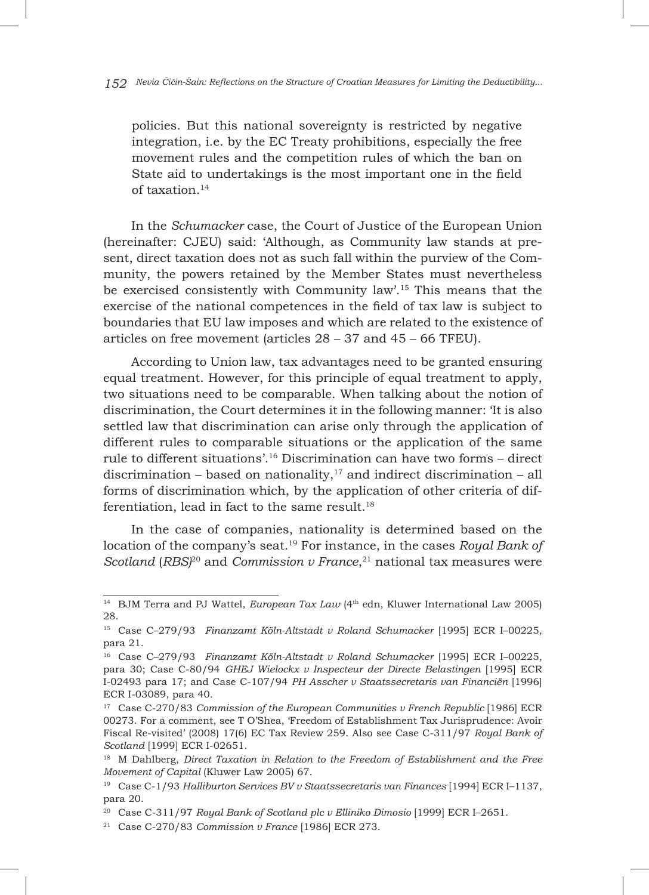policies. But this national sovereignty is restricted by negative integration, i.e. by the EC Treaty prohibitions, especially the free movement rules and the competition rules of which the ban on State aid to undertakings is the most important one in the field of taxation.14

In the *Schumacker* case, the Court of Justice of the European Union (hereinafter: CJEU) said: 'Although, as Community law stands at present, direct taxation does not as such fall within the purview of the Community, the powers retained by the Member States must nevertheless be exercised consistently with Community law'.15 This means that the exercise of the national competences in the field of tax law is subject to boundaries that EU law imposes and which are related to the existence of articles on free movement (articles 28 – 37 and 45 – 66 TFEU).

According to Union law, tax advantages need to be granted ensuring equal treatment. However, for this principle of equal treatment to apply, two situations need to be comparable. When talking about the notion of discrimination, the Court determines it in the following manner: 'It is also settled law that discrimination can arise only through the application of different rules to comparable situations or the application of the same rule to different situations'.16 Discrimination can have two forms – direct discrimination – based on nationality, $17$  and indirect discrimination – all forms of discrimination which, by the application of other criteria of differentiation, lead in fact to the same result. $18$ 

In the case of companies, nationality is determined based on the location of the company's seat.19 For instance, in the cases *Royal Bank of*  Scotland (RBS)<sup>20</sup> and *Commission v France*,<sup>21</sup> national tax measures were

<sup>&</sup>lt;sup>14</sup> BJM Terra and PJ Wattel, *European Tax Law* (4<sup>th</sup> edn, Kluwer International Law 2005) 28.

<sup>15</sup> Case C–279/93 *Finanzamt Köln-Altstadt v Roland Schumacker* [1995] ECR I–00225, para 21.

<sup>16</sup> Case C–279/93 *Finanzamt Köln-Altstadt v Roland Schumacker* [1995] ECR I–00225, para 30; Case C-80/94 *GHEJ Wielockx v Inspecteur der Directe Belastingen* [1995] ECR I-02493 para 17; and Case C-107/94 *PH Asscher v Staatssecretaris van Financiën* [1996] ECR I-03089, para 40.

<sup>&</sup>lt;sup>17</sup> Case C-270/83 *Commission of the European Communities v French Republic* [1986] ECR 00273. For a comment, see T O'Shea, 'Freedom of Establishment Tax Jurisprudence: Avoir Fiscal Re-visited' (2008) 17(6) EC Tax Review 259. Also see Case C-311/97 *Royal Bank of Scotland* [1999] ECR I-02651.

<sup>18</sup> M Dahlberg, *Direct Taxation in Relation to the Freedom of Establishment and the Free Movement of Capital* (Kluwer Law 2005) 67.

<sup>19</sup> Case C-1/93 *Halliburton Services BV v Staatssecretaris van Finances* [1994] ECR I–1137, para 20.

<sup>20</sup> Case C-311/97 *Royal Bank of Scotland plc v Elliniko Dimosio* [1999] ECR I–2651.

<sup>21</sup> Case C-270/83 *Commission v France* [1986] ECR 273.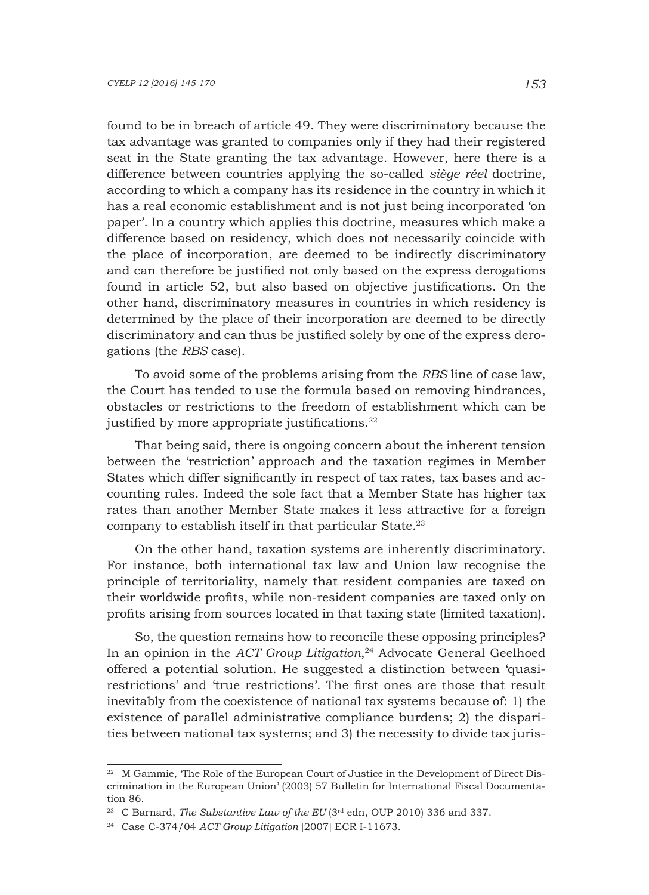found to be in breach of article 49. They were discriminatory because the tax advantage was granted to companies only if they had their registered seat in the State granting the tax advantage. However, here there is a difference between countries applying the so-called *siège réel* doctrine, according to which a company has its residence in the country in which it has a real economic establishment and is not just being incorporated 'on paper'. In a country which applies this doctrine, measures which make a difference based on residency, which does not necessarily coincide with the place of incorporation, are deemed to be indirectly discriminatory and can therefore be justified not only based on the express derogations found in article 52, but also based on objective justifications. On the other hand, discriminatory measures in countries in which residency is determined by the place of their incorporation are deemed to be directly discriminatory and can thus be justified solely by one of the express derogations (the *RBS* case).

To avoid some of the problems arising from the *RBS* line of case law, the Court has tended to use the formula based on removing hindrances, obstacles or restrictions to the freedom of establishment which can be justified by more appropriate justifications.<sup>22</sup>

That being said, there is ongoing concern about the inherent tension between the 'restriction' approach and the taxation regimes in Member States which differ significantly in respect of tax rates, tax bases and accounting rules. Indeed the sole fact that a Member State has higher tax rates than another Member State makes it less attractive for a foreign company to establish itself in that particular State.23

On the other hand, taxation systems are inherently discriminatory. For instance, both international tax law and Union law recognise the principle of territoriality, namely that resident companies are taxed on their worldwide profits, while non-resident companies are taxed only on profits arising from sources located in that taxing state (limited taxation).

So, the question remains how to reconcile these opposing principles? In an opinion in the *ACT Group Litigation*, 24 Advocate General Geelhoed offered a potential solution. He suggested a distinction between 'quasirestrictions' and 'true restrictions'. The first ones are those that result inevitably from the coexistence of national tax systems because of: 1) the existence of parallel administrative compliance burdens; 2) the disparities between national tax systems; and 3) the necessity to divide tax juris-

<sup>&</sup>lt;sup>22</sup> M Gammie, 'The Role of the European Court of Justice in the Development of Direct Discrimination in the European Union' (2003) 57 Bulletin for International Fiscal Documentation 86.

<sup>&</sup>lt;sup>23</sup> C Barnard, *The Substantive Law of the EU* (3<sup>rd</sup> edn, OUP 2010) 336 and 337.

<sup>24</sup> Case C-374/04 *ACT Group Litigation* [2007] ECR I-11673.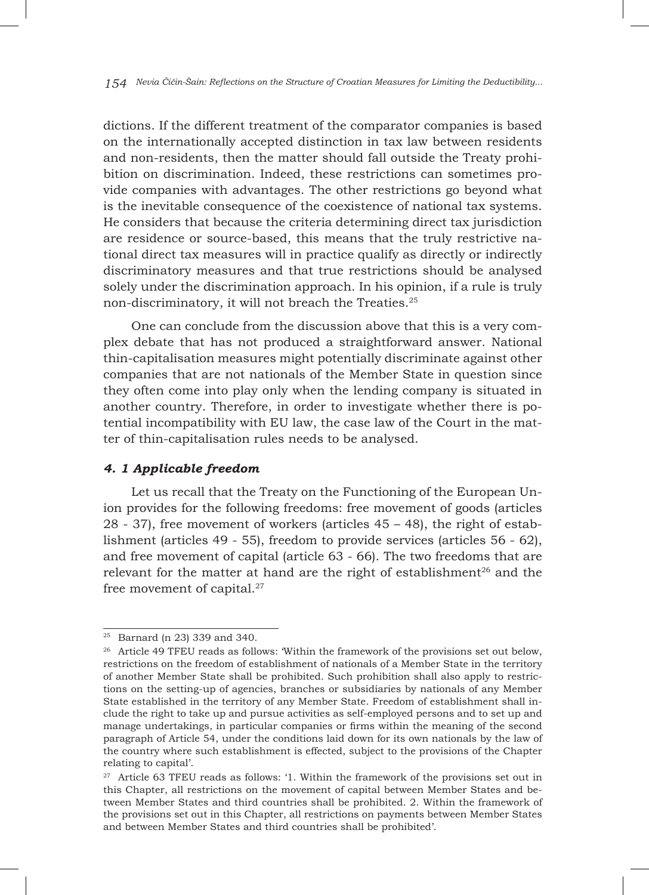dictions. If the different treatment of the comparator companies is based on the internationally accepted distinction in tax law between residents and non-residents, then the matter should fall outside the Treaty prohibition on discrimination. Indeed, these restrictions can sometimes provide companies with advantages. The other restrictions go beyond what is the inevitable consequence of the coexistence of national tax systems. He considers that because the criteria determining direct tax jurisdiction are residence or source-based, this means that the truly restrictive national direct tax measures will in practice qualify as directly or indirectly discriminatory measures and that true restrictions should be analysed solely under the discrimination approach. In his opinion, if a rule is truly non-discriminatory, it will not breach the Treaties.25

One can conclude from the discussion above that this is a very complex debate that has not produced a straightforward answer. National thin-capitalisation measures might potentially discriminate against other companies that are not nationals of the Member State in question since they often come into play only when the lending company is situated in another country. Therefore, in order to investigate whether there is potential incompatibility with EU law, the case law of the Court in the matter of thin-capitalisation rules needs to be analysed.

### *4. 1 Applicable freedom*

Let us recall that the Treaty on the Functioning of the European Union provides for the following freedoms: free movement of goods (articles 28 - 37), free movement of workers (articles 45 – 48), the right of establishment (articles 49 - 55), freedom to provide services (articles 56 - 62), and free movement of capital (article 63 - 66). The two freedoms that are relevant for the matter at hand are the right of establishment<sup>26</sup> and the free movement of capital.27

<sup>25</sup> Barnard (n 23) 339 and 340.

<sup>&</sup>lt;sup>26</sup> Article 49 TFEU reads as follows: Within the framework of the provisions set out below, restrictions on the freedom of establishment of nationals of a Member State in the territory of another Member State shall be prohibited. Such prohibition shall also apply to restrictions on the setting-up of agencies, branches or subsidiaries by nationals of any Member State established in the territory of any Member State. Freedom of establishment shall include the right to take up and pursue activities as self-employed persons and to set up and manage undertakings, in particular companies or firms within the meaning of the second paragraph of Article 54, under the conditions laid down for its own nationals by the law of the country where such establishment is effected, subject to the provisions of the Chapter relating to capital'.

<sup>&</sup>lt;sup>27</sup> Article 63 TFEU reads as follows: '1. Within the framework of the provisions set out in this Chapter, all restrictions on the movement of capital between Member States and between Member States and third countries shall be prohibited. 2. Within the framework of the provisions set out in this Chapter, all restrictions on payments between Member States and between Member States and third countries shall be prohibited'.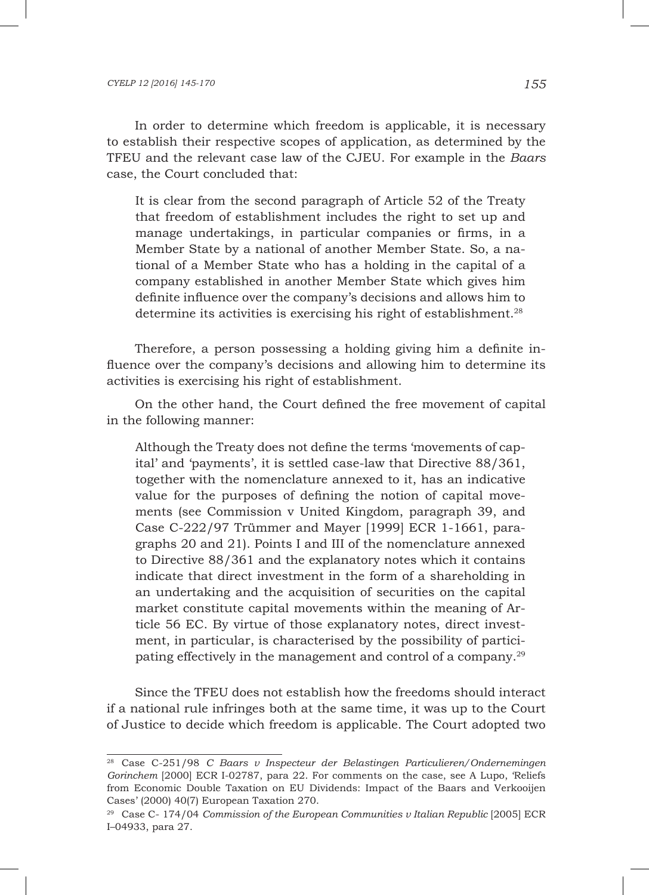In order to determine which freedom is applicable, it is necessary to establish their respective scopes of application, as determined by the TFEU and the relevant case law of the CJEU. For example in the *Baars* case, the Court concluded that:

It is clear from the second paragraph of Article 52 of the Treaty that freedom of establishment includes the right to set up and manage undertakings, in particular companies or firms, in a Member State by a national of another Member State. So, a national of a Member State who has a holding in the capital of a company established in another Member State which gives him definite influence over the company's decisions and allows him to determine its activities is exercising his right of establishment.<sup>28</sup>

Therefore, a person possessing a holding giving him a definite influence over the company's decisions and allowing him to determine its activities is exercising his right of establishment.

On the other hand, the Court defined the free movement of capital in the following manner:

Although the Treaty does not define the terms 'movements of capital' and 'payments', it is settled case-law that Directive 88/361, together with the nomenclature annexed to it, has an indicative value for the purposes of defining the notion of capital movements (see Commission v United Kingdom, paragraph 39, and Case C-222/97 Trümmer and Mayer [1999] ECR 1-1661, paragraphs 20 and 21). Points I and III of the nomenclature annexed to Directive 88/361 and the explanatory notes which it contains indicate that direct investment in the form of a shareholding in an undertaking and the acquisition of securities on the capital market constitute capital movements within the meaning of Article 56 EC. By virtue of those explanatory notes, direct investment, in particular, is characterised by the possibility of participating effectively in the management and control of a company.29

Since the TFEU does not establish how the freedoms should interact if a national rule infringes both at the same time, it was up to the Court of Justice to decide which freedom is applicable. The Court adopted two

<sup>28</sup> Case C-251/98 *C Baars v Inspecteur der Belastingen Particulieren/Ondernemingen Gorinchem* [2000] ECR I-02787, para 22. For comments on the case, see A Lupo, 'Reliefs from Economic Double Taxation on EU Dividends: Impact of the Baars and Verkooijen Cases' (2000) 40(7) European Taxation 270.

<sup>&</sup>lt;sup>29</sup> Case C- 174/04 *Commission of the European Communities v Italian Republic* [2005] ECR I–04933, para 27.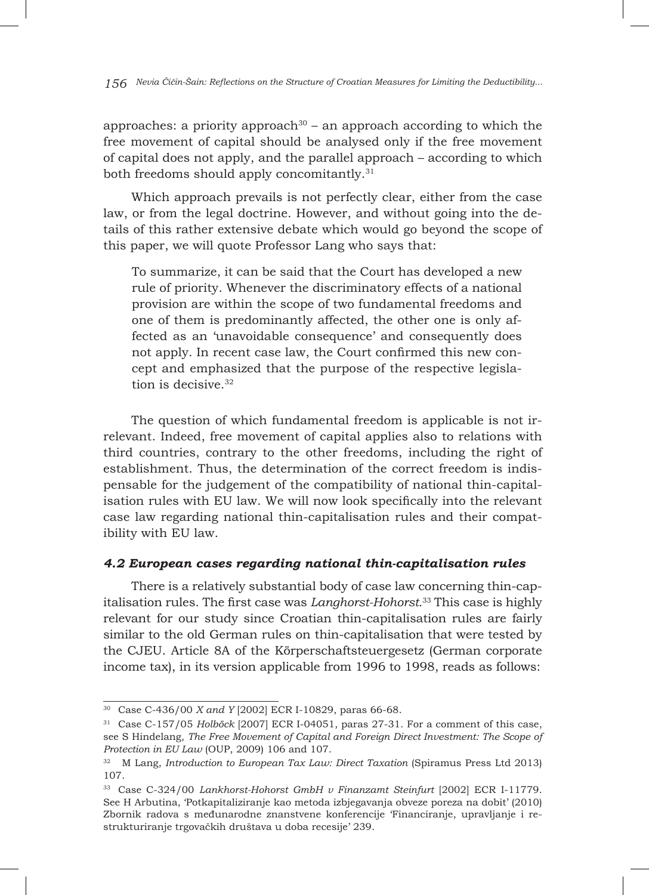approaches: a priority approach<sup>30</sup> – an approach according to which the free movement of capital should be analysed only if the free movement of capital does not apply, and the parallel approach – according to which both freedoms should apply concomitantly.<sup>31</sup>

Which approach prevails is not perfectly clear, either from the case law, or from the legal doctrine. However, and without going into the details of this rather extensive debate which would go beyond the scope of this paper, we will quote Professor Lang who says that:

To summarize, it can be said that the Court has developed a new rule of priority. Whenever the discriminatory effects of a national provision are within the scope of two fundamental freedoms and one of them is predominantly affected, the other one is only affected as an 'unavoidable consequence' and consequently does not apply. In recent case law, the Court confirmed this new concept and emphasized that the purpose of the respective legislation is decisive.<sup>32</sup>

The question of which fundamental freedom is applicable is not irrelevant. Indeed, free movement of capital applies also to relations with third countries, contrary to the other freedoms, including the right of establishment. Thus, the determination of the correct freedom is indispensable for the judgement of the compatibility of national thin-capitalisation rules with EU law. We will now look specifically into the relevant case law regarding national thin-capitalisation rules and their compatibility with EU law.

#### *4.2 European cases regarding national thin-capitalisation rules*

There is a relatively substantial body of case law concerning thin-capitalisation rules. The first case was *Langhorst-Hohorst.*<sup>33</sup> This case is highly relevant for our study since Croatian thin-capitalisation rules are fairly similar to the old German rules on thin-capitalisation that were tested by the CJEU. Article 8A of the Körperschaftsteuergesetz (German corporate income tax), in its version applicable from 1996 to 1998, reads as follows:

<sup>30</sup> Case C-436/00 *X and Y* [2002] ECR I-10829, paras 66-68.

<sup>31</sup> Case C-157/05 *Holböck* [2007] ECR I-04051, paras 27-31. For a comment of this case, see S Hindelang, *The Free Movement of Capital and Foreign Direct Investment: The Scope of Protection in EU Law* (OUP, 2009) 106 and 107.

<sup>32</sup> M Lang, *Introduction to European Tax Law: Direct Taxation* (Spiramus Press Ltd 2013) 107.

<sup>33</sup> Case C-324/00 *Lankhorst-Hohorst GmbH v Finanzamt Steinfurt* [2002] ECR I-11779. See H Arbutina, 'Potkapitaliziranje kao metoda izbjegavanja obveze poreza na dobit' (2010) Zbornik radova s međunarodne znanstvene konferencije 'Financiranje, upravljanje i restrukturiranje trgovačkih društava u doba recesije' 239.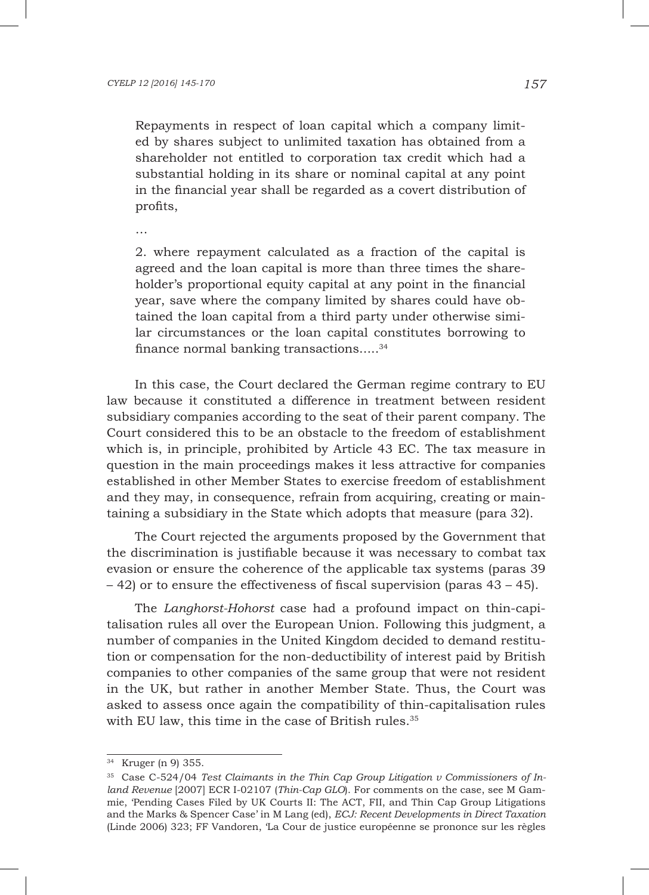Repayments in respect of loan capital which a company limited by shares subject to unlimited taxation has obtained from a shareholder not entitled to corporation tax credit which had a substantial holding in its share or nominal capital at any point in the financial year shall be regarded as a covert distribution of profits,

…

2. where repayment calculated as a fraction of the capital is agreed and the loan capital is more than three times the shareholder's proportional equity capital at any point in the financial year, save where the company limited by shares could have obtained the loan capital from a third party under otherwise similar circumstances or the loan capital constitutes borrowing to finance normal banking transactions.....34

In this case, the Court declared the German regime contrary to EU law because it constituted a difference in treatment between resident subsidiary companies according to the seat of their parent company. The Court considered this to be an obstacle to the freedom of establishment which is, in principle, prohibited by Article 43 EC. The tax measure in question in the main proceedings makes it less attractive for companies established in other Member States to exercise freedom of establishment and they may, in consequence, refrain from acquiring, creating or maintaining a subsidiary in the State which adopts that measure (para 32).

The Court rejected the arguments proposed by the Government that the discrimination is justifiable because it was necessary to combat tax evasion or ensure the coherence of the applicable tax systems (paras 39 – 42) or to ensure the effectiveness of fiscal supervision (paras 43 – 45).

The *Langhorst-Hohorst* case had a profound impact on thin-capitalisation rules all over the European Union. Following this judgment, a number of companies in the United Kingdom decided to demand restitution or compensation for the non-deductibility of interest paid by British companies to other companies of the same group that were not resident in the UK, but rather in another Member State. Thus, the Court was asked to assess once again the compatibility of thin-capitalisation rules with EU law, this time in the case of British rules.<sup>35</sup>

<sup>34</sup> Kruger (n 9) 355.

<sup>35</sup> Case C-524/04 *Test Claimants in the Thin Cap Group Litigation v Commissioners of Inland Revenue* [2007] ECR I-02107 (*Thin-Cap GLO*). For comments on the case, see M Gammie, 'Pending Cases Filed by UK Courts II: The ACT, FII, and Thin Cap Group Litigations and the Marks & Spencer Case' in M Lang (ed), *ECJ: Recent Developments in Direct Taxation* (Linde 2006) 323; FF Vandoren, 'La Cour de justice européenne se prononce sur les règles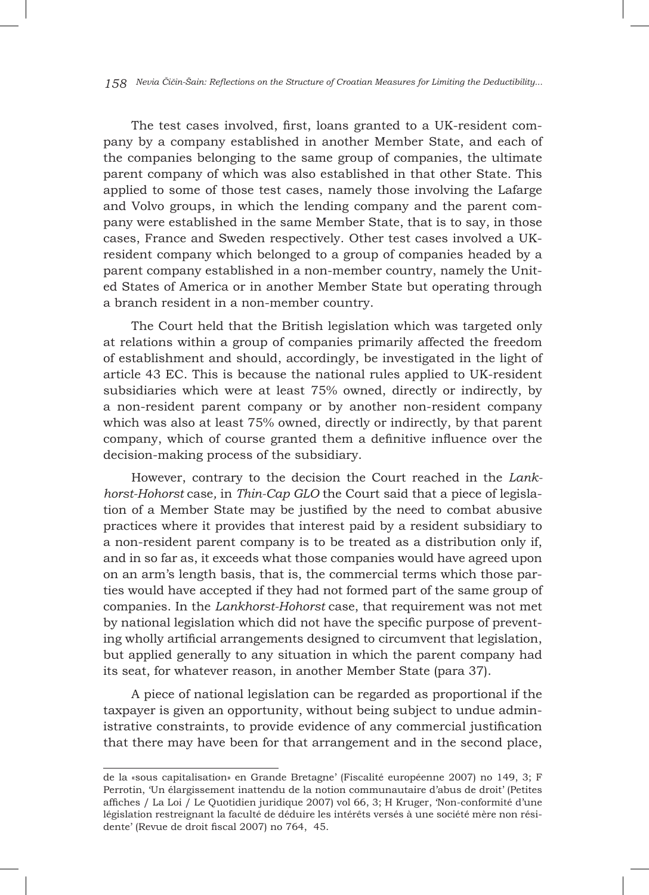*158 Nevia Čičin-Šain: Reflections on the Structure of Croatian Measures for Limiting the Deductibility...*

The test cases involved, first, loans granted to a UK-resident company by a company established in another Member State, and each of the companies belonging to the same group of companies, the ultimate parent company of which was also established in that other State. This applied to some of those test cases, namely those involving the Lafarge and Volvo groups, in which the lending company and the parent company were established in the same Member State, that is to say, in those cases, France and Sweden respectively. Other test cases involved a UKresident company which belonged to a group of companies headed by a parent company established in a non-member country, namely the United States of America or in another Member State but operating through a branch resident in a non-member country.

The Court held that the British legislation which was targeted only at relations within a group of companies primarily affected the freedom of establishment and should, accordingly, be investigated in the light of article 43 EC. This is because the national rules applied to UK-resident subsidiaries which were at least 75% owned, directly or indirectly, by a non-resident parent company or by another non-resident company which was also at least 75% owned, directly or indirectly, by that parent company, which of course granted them a definitive influence over the decision-making process of the subsidiary.

However, contrary to the decision the Court reached in the *Lankhorst-Hohorst* case*,* in *Thin-Cap GLO* the Court said that a piece of legislation of a Member State may be justified by the need to combat abusive practices where it provides that interest paid by a resident subsidiary to a non-resident parent company is to be treated as a distribution only if, and in so far as, it exceeds what those companies would have agreed upon on an arm's length basis, that is, the commercial terms which those parties would have accepted if they had not formed part of the same group of companies. In the *Lankhorst-Hohorst* case, that requirement was not met by national legislation which did not have the specific purpose of preventing wholly artificial arrangements designed to circumvent that legislation, but applied generally to any situation in which the parent company had its seat, for whatever reason, in another Member State (para 37).

A piece of national legislation can be regarded as proportional if the taxpayer is given an opportunity, without being subject to undue administrative constraints, to provide evidence of any commercial justification that there may have been for that arrangement and in the second place,

de la «sous capitalisation» en Grande Bretagne' (Fiscalité européenne 2007) no 149, 3; F Perrotin, 'Un élargissement inattendu de la notion communautaire d'abus de droit' (Petites affiches / La Loi / Le Quotidien juridique 2007) vol 66, 3; H Kruger, 'Non-conformité d'une législation restreignant la faculté de déduire les intérêts versés à une société mère non résidente' (Revue de droit fiscal 2007) no 764, 45.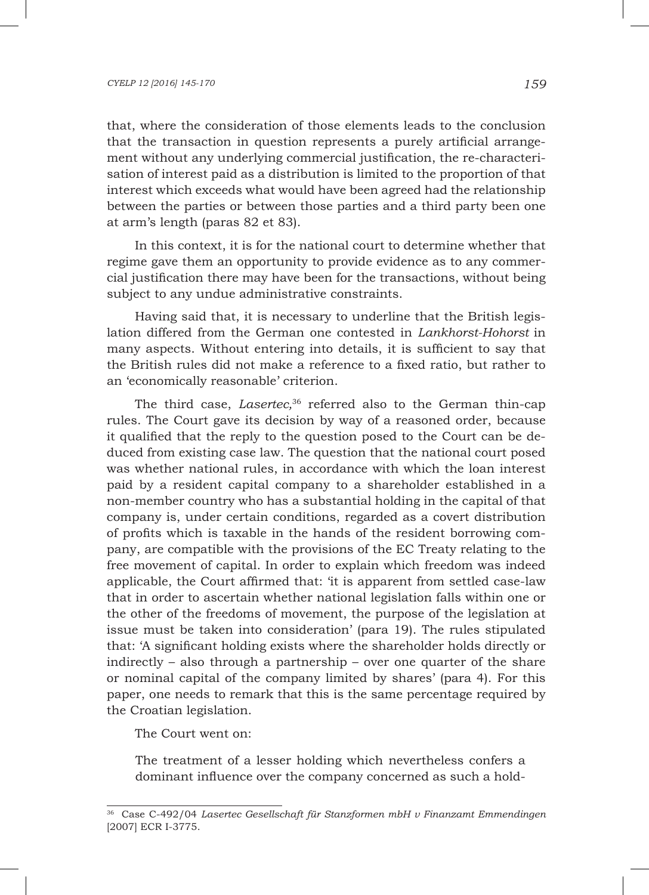that, where the consideration of those elements leads to the conclusion that the transaction in question represents a purely artificial arrangement without any underlying commercial justification, the re-characterisation of interest paid as a distribution is limited to the proportion of that interest which exceeds what would have been agreed had the relationship between the parties or between those parties and a third party been one at arm's length (paras 82 et 83).

In this context, it is for the national court to determine whether that regime gave them an opportunity to provide evidence as to any commercial justification there may have been for the transactions, without being subject to any undue administrative constraints.

Having said that, it is necessary to underline that the British legislation differed from the German one contested in *Lankhorst-Hohorst* in many aspects. Without entering into details, it is sufficient to say that the British rules did not make a reference to a fixed ratio, but rather to an 'economically reasonable' criterion.

The third case, *Lasertec,* <sup>36</sup> referred also to the German thin-cap rules. The Court gave its decision by way of a reasoned order, because it qualified that the reply to the question posed to the Court can be deduced from existing case law. The question that the national court posed was whether national rules, in accordance with which the loan interest paid by a resident capital company to a shareholder established in a non-member country who has a substantial holding in the capital of that company is, under certain conditions, regarded as a covert distribution of profits which is taxable in the hands of the resident borrowing company, are compatible with the provisions of the EC Treaty relating to the free movement of capital. In order to explain which freedom was indeed applicable, the Court affirmed that: 'it is apparent from settled case-law that in order to ascertain whether national legislation falls within one or the other of the freedoms of movement, the purpose of the legislation at issue must be taken into consideration' (para 19). The rules stipulated that: 'A significant holding exists where the shareholder holds directly or indirectly – also through a partnership – over one quarter of the share or nominal capital of the company limited by shares' (para 4). For this paper, one needs to remark that this is the same percentage required by the Croatian legislation.

The Court went on:

The treatment of a lesser holding which nevertheless confers a dominant influence over the company concerned as such a hold-

<sup>36</sup> Case C-492/04 *Lasertec Gesellschaft für Stanzformen mbH v Finanzamt Emmendingen* [2007] ECR I-3775.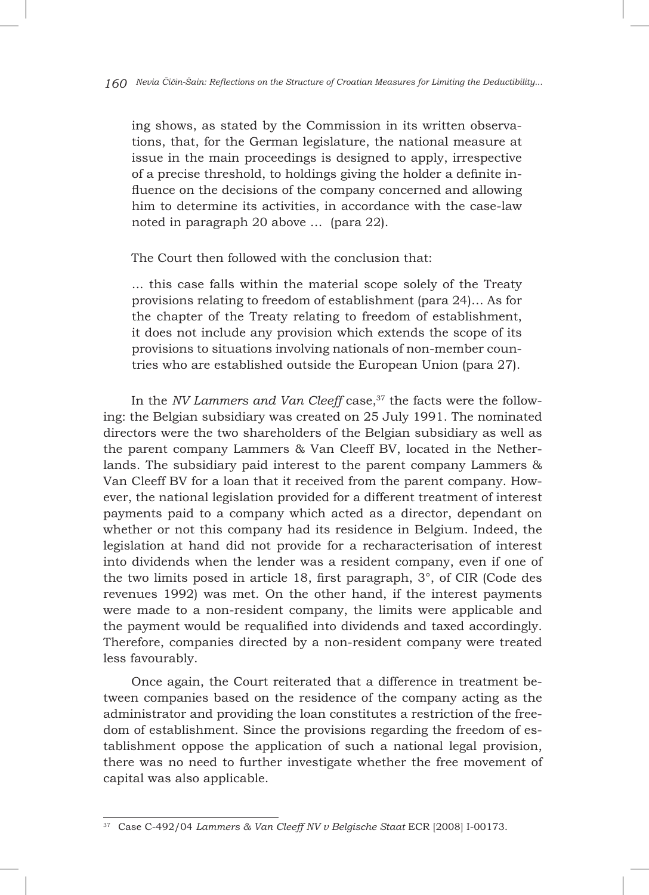ing shows, as stated by the Commission in its written observations, that, for the German legislature, the national measure at issue in the main proceedings is designed to apply, irrespective of a precise threshold, to holdings giving the holder a definite influence on the decisions of the company concerned and allowing him to determine its activities, in accordance with the case-law noted in paragraph 20 above … (para 22).

The Court then followed with the conclusion that:

... this case falls within the material scope solely of the Treaty provisions relating to freedom of establishment (para 24)… As for the chapter of the Treaty relating to freedom of establishment, it does not include any provision which extends the scope of its provisions to situations involving nationals of non-member countries who are established outside the European Union (para 27).

In the *NV Lammers and Van Cleeff* case,<sup>37</sup> the facts were the following: the Belgian subsidiary was created on 25 July 1991. The nominated directors were the two shareholders of the Belgian subsidiary as well as the parent company Lammers & Van Cleeff BV, located in the Netherlands. The subsidiary paid interest to the parent company Lammers & Van Cleeff BV for a loan that it received from the parent company. However, the national legislation provided for a different treatment of interest payments paid to a company which acted as a director, dependant on whether or not this company had its residence in Belgium. Indeed, the legislation at hand did not provide for a recharacterisation of interest into dividends when the lender was a resident company, even if one of the two limits posed in article 18, first paragraph, 3°, of CIR (Code des revenues 1992) was met. On the other hand, if the interest payments were made to a non-resident company, the limits were applicable and the payment would be requalified into dividends and taxed accordingly. Therefore, companies directed by a non-resident company were treated less favourably.

Once again, the Court reiterated that a difference in treatment between companies based on the residence of the company acting as the administrator and providing the loan constitutes a restriction of the freedom of establishment. Since the provisions regarding the freedom of establishment oppose the application of such a national legal provision, there was no need to further investigate whether the free movement of capital was also applicable.

<sup>37</sup> Case C-492/04 *Lammers & Van Cleeff NV v Belgische Staat* ECR [2008] I-00173.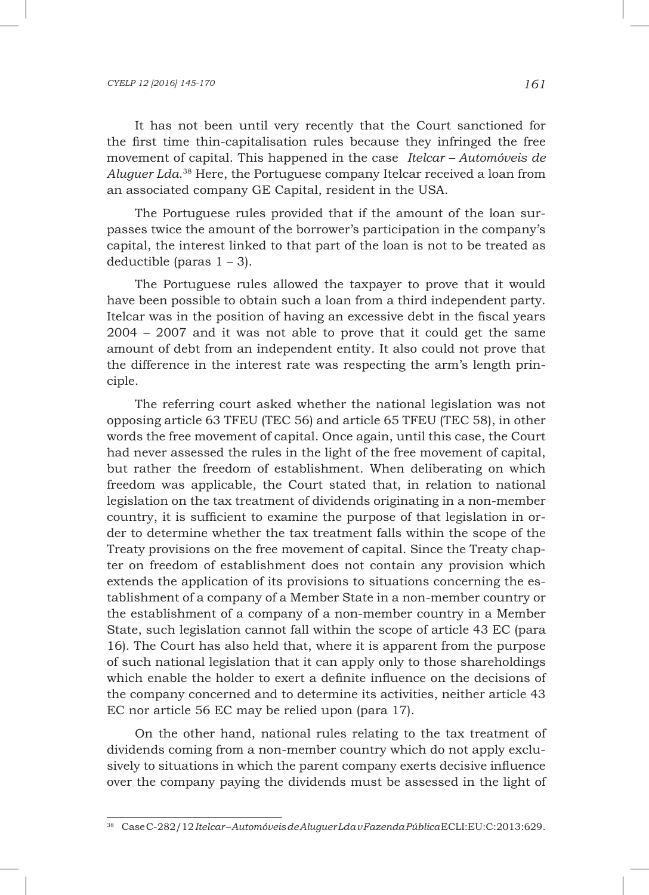It has not been until very recently that the Court sanctioned for the first time thin-capitalisation rules because they infringed the free movement of capital. This happened in the case *Itelcar – Automóveis de Aluguer Lda*. 38 Here, the Portuguese company Itelcar received a loan from an associated company GE Capital, resident in the USA.

The Portuguese rules provided that if the amount of the loan surpasses twice the amount of the borrower's participation in the company's capital, the interest linked to that part of the loan is not to be treated as deductible (paras 1 – 3).

The Portuguese rules allowed the taxpayer to prove that it would have been possible to obtain such a loan from a third independent party. Itelcar was in the position of having an excessive debt in the fiscal years 2004 – 2007 and it was not able to prove that it could get the same amount of debt from an independent entity. It also could not prove that the difference in the interest rate was respecting the arm's length principle.

The referring court asked whether the national legislation was not opposing article 63 TFEU (TEC 56) and article 65 TFEU (TEC 58), in other words the free movement of capital. Once again, until this case, the Court had never assessed the rules in the light of the free movement of capital, but rather the freedom of establishment. When deliberating on which freedom was applicable, the Court stated that, in relation to national legislation on the tax treatment of dividends originating in a non-member country, it is sufficient to examine the purpose of that legislation in order to determine whether the tax treatment falls within the scope of the Treaty provisions on the free movement of capital. Since the Treaty chapter on freedom of establishment does not contain any provision which extends the application of its provisions to situations concerning the establishment of a company of a Member State in a non-member country or the establishment of a company of a non-member country in a Member State, such legislation cannot fall within the scope of article 43 EC (para 16). The Court has also held that, where it is apparent from the purpose of such national legislation that it can apply only to those shareholdings which enable the holder to exert a definite influence on the decisions of the company concerned and to determine its activities, neither article 43 EC nor article 56 EC may be relied upon (para 17).

On the other hand, national rules relating to the tax treatment of dividends coming from a non-member country which do not apply exclusively to situations in which the parent company exerts decisive influence over the company paying the dividends must be assessed in the light of

<sup>38</sup> Case C-282/12 *Itelcar – Automóveis de Aluguer Lda v Fazenda Pública* ECLI:EU:C:2013:629.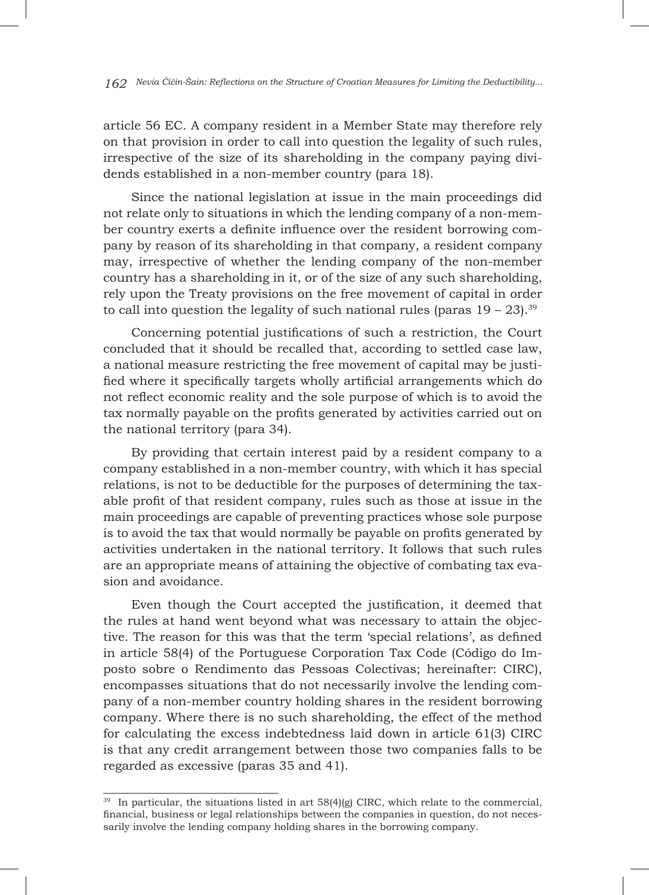*162 Nevia Čičin-Šain: Reflections on the Structure of Croatian Measures for Limiting the Deductibility...*

article 56 EC. A company resident in a Member State may therefore rely on that provision in order to call into question the legality of such rules, irrespective of the size of its shareholding in the company paying dividends established in a non-member country (para 18).

Since the national legislation at issue in the main proceedings did not relate only to situations in which the lending company of a non-member country exerts a definite influence over the resident borrowing company by reason of its shareholding in that company, a resident company may, irrespective of whether the lending company of the non-member country has a shareholding in it, or of the size of any such shareholding, rely upon the Treaty provisions on the free movement of capital in order to call into question the legality of such national rules (paras  $19 - 23$ ).<sup>39</sup>

Concerning potential justifications of such a restriction, the Court concluded that it should be recalled that, according to settled case law, a national measure restricting the free movement of capital may be justified where it specifically targets wholly artificial arrangements which do not reflect economic reality and the sole purpose of which is to avoid the tax normally payable on the profits generated by activities carried out on the national territory (para 34).

By providing that certain interest paid by a resident company to a company established in a non-member country, with which it has special relations, is not to be deductible for the purposes of determining the taxable profit of that resident company, rules such as those at issue in the main proceedings are capable of preventing practices whose sole purpose is to avoid the tax that would normally be payable on profits generated by activities undertaken in the national territory. It follows that such rules are an appropriate means of attaining the objective of combating tax evasion and avoidance.

Even though the Court accepted the justification, it deemed that the rules at hand went beyond what was necessary to attain the objective. The reason for this was that the term 'special relations', as defined in article 58(4) of the Portuguese Corporation Tax Code (Código do Imposto sobre o Rendimento das Pessoas Colectivas; hereinafter: CIRC), encompasses situations that do not necessarily involve the lending company of a non-member country holding shares in the resident borrowing company. Where there is no such shareholding, the effect of the method for calculating the excess indebtedness laid down in article 61(3) CIRC is that any credit arrangement between those two companies falls to be regarded as excessive (paras 35 and 41).

 $39$  In particular, the situations listed in art  $58(4)(g)$  CIRC, which relate to the commercial, financial, business or legal relationships between the companies in question, do not necessarily involve the lending company holding shares in the borrowing company.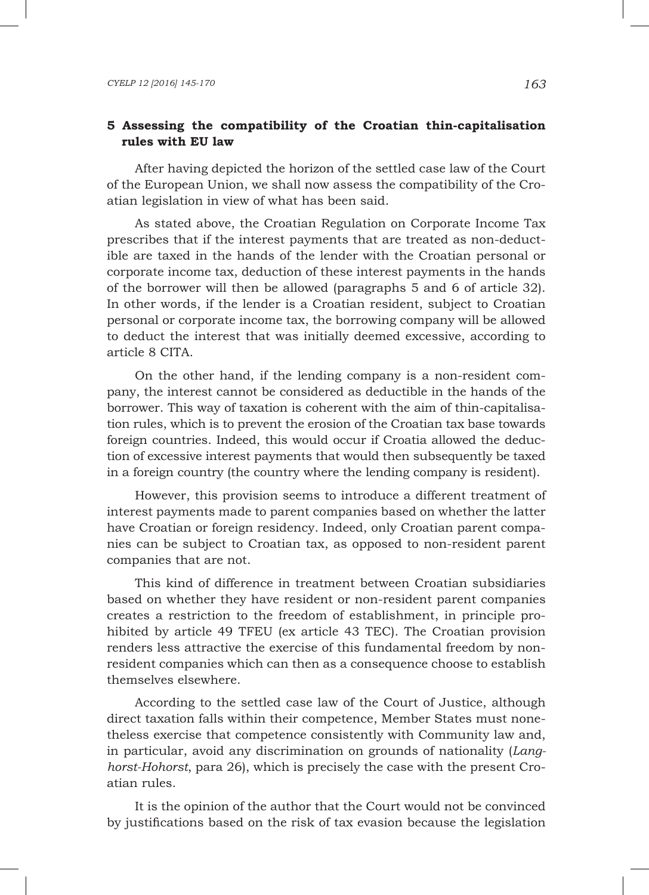## **5 Assessing the compatibility of the Croatian thin-capitalisation rules with EU law**

After having depicted the horizon of the settled case law of the Court of the European Union, we shall now assess the compatibility of the Croatian legislation in view of what has been said.

As stated above, the Croatian Regulation on Corporate Income Tax prescribes that if the interest payments that are treated as non-deductible are taxed in the hands of the lender with the Croatian personal or corporate income tax, deduction of these interest payments in the hands of the borrower will then be allowed (paragraphs 5 and 6 of article 32). In other words, if the lender is a Croatian resident, subject to Croatian personal or corporate income tax, the borrowing company will be allowed to deduct the interest that was initially deemed excessive, according to article 8 CITA.

On the other hand, if the lending company is a non-resident company, the interest cannot be considered as deductible in the hands of the borrower. This way of taxation is coherent with the aim of thin-capitalisation rules, which is to prevent the erosion of the Croatian tax base towards foreign countries. Indeed, this would occur if Croatia allowed the deduction of excessive interest payments that would then subsequently be taxed in a foreign country (the country where the lending company is resident).

However, this provision seems to introduce a different treatment of interest payments made to parent companies based on whether the latter have Croatian or foreign residency. Indeed, only Croatian parent companies can be subject to Croatian tax, as opposed to non-resident parent companies that are not.

This kind of difference in treatment between Croatian subsidiaries based on whether they have resident or non-resident parent companies creates a restriction to the freedom of establishment, in principle prohibited by article 49 TFEU (ex article 43 TEC). The Croatian provision renders less attractive the exercise of this fundamental freedom by nonresident companies which can then as a consequence choose to establish themselves elsewhere.

According to the settled case law of the Court of Justice, although direct taxation falls within their competence, Member States must nonetheless exercise that competence consistently with Community law and, in particular, avoid any discrimination on grounds of nationality (*Langhorst-Hohorst*, para 26), which is precisely the case with the present Croatian rules.

It is the opinion of the author that the Court would not be convinced by justifications based on the risk of tax evasion because the legislation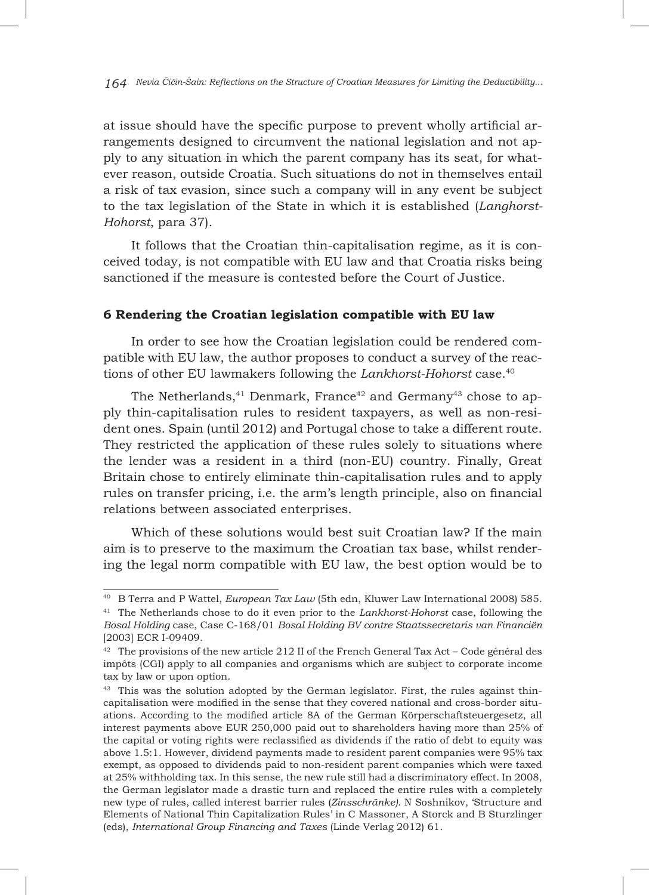at issue should have the specific purpose to prevent wholly artificial arrangements designed to circumvent the national legislation and not apply to any situation in which the parent company has its seat, for whatever reason, outside Croatia. Such situations do not in themselves entail a risk of tax evasion, since such a company will in any event be subject to the tax legislation of the State in which it is established (*Langhorst-Hohorst*, para 37).

It follows that the Croatian thin-capitalisation regime, as it is conceived today, is not compatible with EU law and that Croatia risks being sanctioned if the measure is contested before the Court of Justice.

### **6 Rendering the Croatian legislation compatible with EU law**

In order to see how the Croatian legislation could be rendered compatible with EU law, the author proposes to conduct a survey of the reactions of other EU lawmakers following the *Lankhorst-Hohorst* case.40

The Netherlands, $41$  Denmark, France $42$  and Germany $43$  chose to apply thin-capitalisation rules to resident taxpayers, as well as non-resident ones. Spain (until 2012) and Portugal chose to take a different route. They restricted the application of these rules solely to situations where the lender was a resident in a third (non-EU) country. Finally, Great Britain chose to entirely eliminate thin-capitalisation rules and to apply rules on transfer pricing, i.e. the arm's length principle, also on financial relations between associated enterprises.

Which of these solutions would best suit Croatian law? If the main aim is to preserve to the maximum the Croatian tax base, whilst rendering the legal norm compatible with EU law, the best option would be to

<sup>40</sup> B Terra and P Wattel, *European Tax Law* (5th edn, Kluwer Law International 2008) 585.

<sup>41</sup> The Netherlands chose to do it even prior to the *Lankhorst-Hohorst* case, following the *Bosal Holding* case, Case C-168/01 *Bosal Holding BV contre Staatssecretaris van Financiën* [2003] ECR I-09409.

<sup>&</sup>lt;sup>42</sup> The provisions of the new article 212 II of the French General Tax Act – Code général des impôts (CGI) apply to all companies and organisms which are subject to corporate income tax by law or upon option.

<sup>&</sup>lt;sup>43</sup> This was the solution adopted by the German legislator. First, the rules against thincapitalisation were modified in the sense that they covered national and cross-border situations. According to the modified article 8A of the German Körperschaftsteuergesetz, all interest payments above EUR 250,000 paid out to shareholders having more than 25% of the capital or voting rights were reclassified as dividends if the ratio of debt to equity was above 1.5:1. However, dividend payments made to resident parent companies were 95% tax exempt, as opposed to dividends paid to non-resident parent companies which were taxed at 25% withholding tax. In this sense, the new rule still had a discriminatory effect. In 2008, the German legislator made a drastic turn and replaced the entire rules with a completely new type of rules, called interest barrier rules (*Zinsschränke)*. N Soshnikov, 'Structure and Elements of National Thin Capitalization Rules' in C Massoner, A Storck and B Sturzlinger (eds), *International Group Financing and Taxes* (Linde Verlag 2012) 61.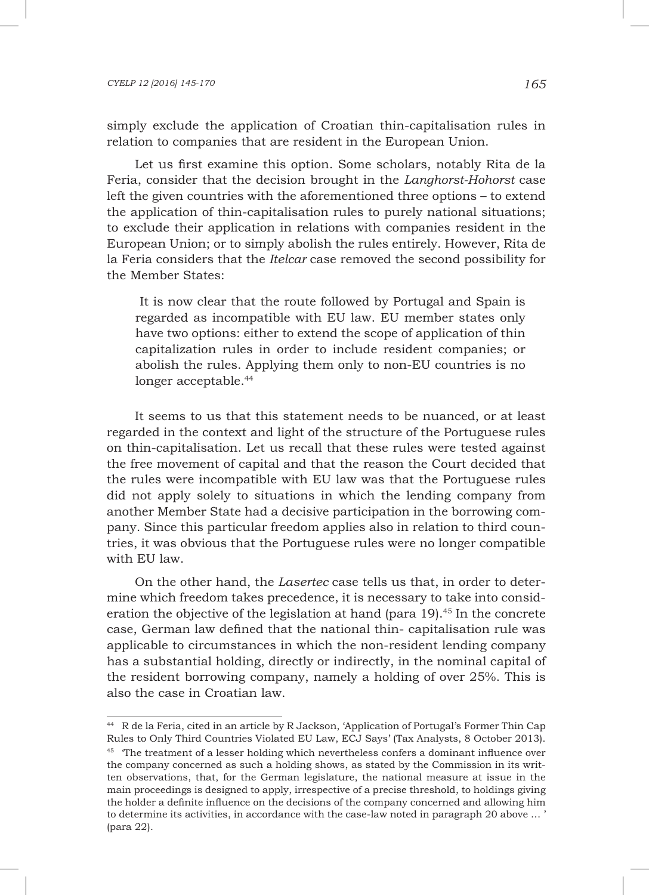simply exclude the application of Croatian thin-capitalisation rules in relation to companies that are resident in the European Union.

Let us first examine this option. Some scholars, notably Rita de la Feria, consider that the decision brought in the *Langhorst-Hohorst* case left the given countries with the aforementioned three options – to extend the application of thin-capitalisation rules to purely national situations; to exclude their application in relations with companies resident in the European Union; or to simply abolish the rules entirely. However, Rita de la Feria considers that the *Itelcar* case removed the second possibility for the Member States:

 It is now clear that the route followed by Portugal and Spain is regarded as incompatible with EU law. EU member states only have two options: either to extend the scope of application of thin capitalization rules in order to include resident companies; or abolish the rules. Applying them only to non-EU countries is no longer acceptable.<sup>44</sup>

It seems to us that this statement needs to be nuanced, or at least regarded in the context and light of the structure of the Portuguese rules on thin-capitalisation. Let us recall that these rules were tested against the free movement of capital and that the reason the Court decided that the rules were incompatible with EU law was that the Portuguese rules did not apply solely to situations in which the lending company from another Member State had a decisive participation in the borrowing company. Since this particular freedom applies also in relation to third countries, it was obvious that the Portuguese rules were no longer compatible with EU law.

On the other hand, the *Lasertec* case tells us that, in order to determine which freedom takes precedence, it is necessary to take into consideration the objective of the legislation at hand (para 19).45 In the concrete case, German law defined that the national thin- capitalisation rule was applicable to circumstances in which the non-resident lending company has a substantial holding, directly or indirectly, in the nominal capital of the resident borrowing company, namely a holding of over 25%. This is also the case in Croatian law.

<sup>44</sup> R de la Feria, cited in an article by R Jackson, 'Application of Portugal's Former Thin Cap Rules to Only Third Countries Violated EU Law, ECJ Says' (Tax Analysts, 8 October 2013).

<sup>&</sup>lt;sup>45</sup> The treatment of a lesser holding which nevertheless confers a dominant influence over the company concerned as such a holding shows, as stated by the Commission in its written observations, that, for the German legislature, the national measure at issue in the main proceedings is designed to apply, irrespective of a precise threshold, to holdings giving the holder a definite influence on the decisions of the company concerned and allowing him to determine its activities, in accordance with the case-law noted in paragraph 20 above … ' (para 22).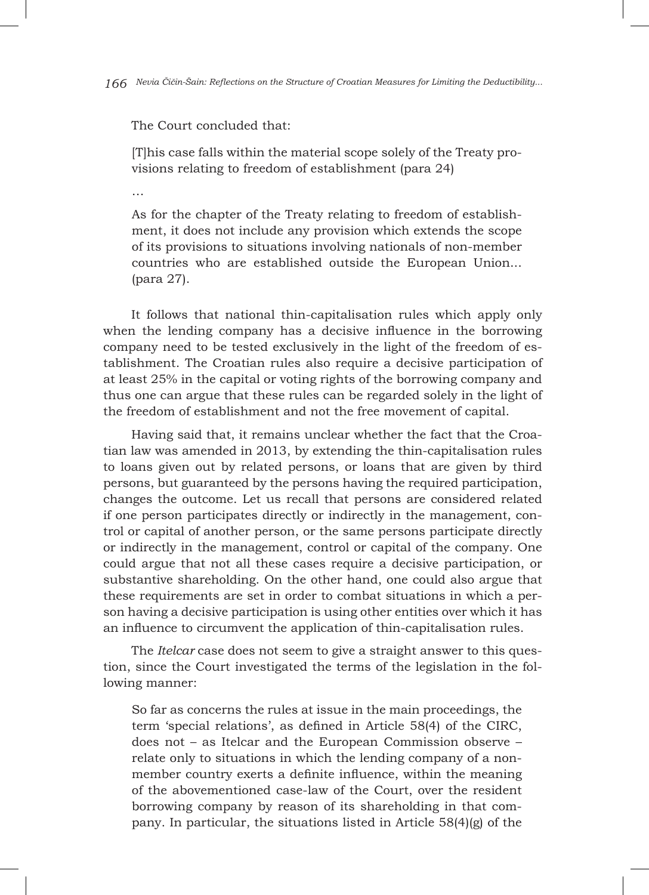The Court concluded that:

[T]his case falls within the material scope solely of the Treaty provisions relating to freedom of establishment (para 24)

…

As for the chapter of the Treaty relating to freedom of establishment, it does not include any provision which extends the scope of its provisions to situations involving nationals of non-member countries who are established outside the European Union... (para 27).

It follows that national thin-capitalisation rules which apply only when the lending company has a decisive influence in the borrowing company need to be tested exclusively in the light of the freedom of establishment. The Croatian rules also require a decisive participation of at least 25% in the capital or voting rights of the borrowing company and thus one can argue that these rules can be regarded solely in the light of the freedom of establishment and not the free movement of capital.

Having said that, it remains unclear whether the fact that the Croatian law was amended in 2013, by extending the thin-capitalisation rules to loans given out by related persons, or loans that are given by third persons, but guaranteed by the persons having the required participation, changes the outcome. Let us recall that persons are considered related if one person participates directly or indirectly in the management, control or capital of another person, or the same persons participate directly or indirectly in the management, control or capital of the company. One could argue that not all these cases require a decisive participation, or substantive shareholding. On the other hand, one could also argue that these requirements are set in order to combat situations in which a person having a decisive participation is using other entities over which it has an influence to circumvent the application of thin-capitalisation rules.

The *Itelcar* case does not seem to give a straight answer to this question, since the Court investigated the terms of the legislation in the following manner:

So far as concerns the rules at issue in the main proceedings, the term 'special relations', as defined in Article 58(4) of the CIRC, does not – as Itelcar and the European Commission observe – relate only to situations in which the lending company of a nonmember country exerts a definite influence, within the meaning of the abovementioned case-law of the Court, over the resident borrowing company by reason of its shareholding in that company. In particular, the situations listed in Article 58(4)(g) of the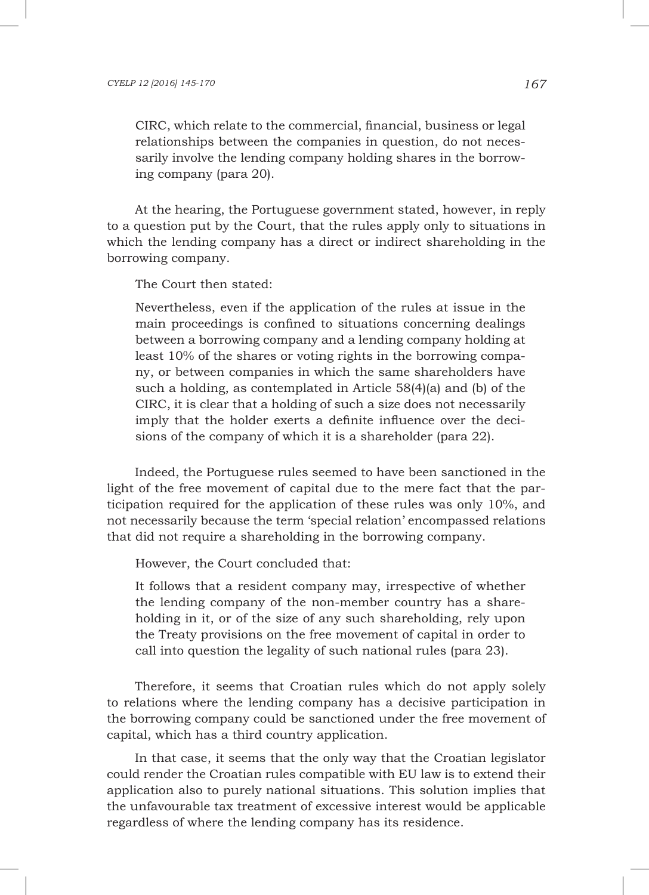CIRC, which relate to the commercial, financial, business or legal relationships between the companies in question, do not necessarily involve the lending company holding shares in the borrowing company (para 20).

At the hearing, the Portuguese government stated, however, in reply to a question put by the Court, that the rules apply only to situations in which the lending company has a direct or indirect shareholding in the borrowing company.

The Court then stated:

Nevertheless, even if the application of the rules at issue in the main proceedings is confined to situations concerning dealings between a borrowing company and a lending company holding at least 10% of the shares or voting rights in the borrowing company, or between companies in which the same shareholders have such a holding, as contemplated in Article 58(4)(a) and (b) of the CIRC, it is clear that a holding of such a size does not necessarily imply that the holder exerts a definite influence over the decisions of the company of which it is a shareholder (para 22).

Indeed, the Portuguese rules seemed to have been sanctioned in the light of the free movement of capital due to the mere fact that the participation required for the application of these rules was only 10%, and not necessarily because the term 'special relation' encompassed relations that did not require a shareholding in the borrowing company.

However, the Court concluded that:

It follows that a resident company may, irrespective of whether the lending company of the non-member country has a shareholding in it, or of the size of any such shareholding, rely upon the Treaty provisions on the free movement of capital in order to call into question the legality of such national rules (para 23).

Therefore, it seems that Croatian rules which do not apply solely to relations where the lending company has a decisive participation in the borrowing company could be sanctioned under the free movement of capital, which has a third country application.

In that case, it seems that the only way that the Croatian legislator could render the Croatian rules compatible with EU law is to extend their application also to purely national situations. This solution implies that the unfavourable tax treatment of excessive interest would be applicable regardless of where the lending company has its residence.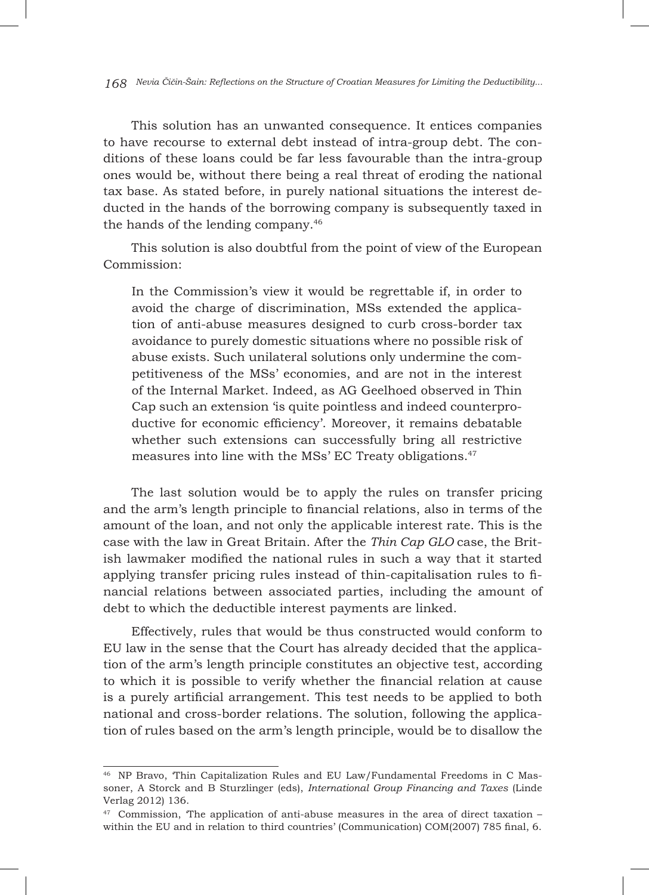This solution has an unwanted consequence. It entices companies to have recourse to external debt instead of intra-group debt. The conditions of these loans could be far less favourable than the intra-group ones would be, without there being a real threat of eroding the national tax base. As stated before, in purely national situations the interest deducted in the hands of the borrowing company is subsequently taxed in the hands of the lending company.46

This solution is also doubtful from the point of view of the European Commission:

In the Commission's view it would be regrettable if, in order to avoid the charge of discrimination, MSs extended the application of anti-abuse measures designed to curb cross-border tax avoidance to purely domestic situations where no possible risk of abuse exists. Such unilateral solutions only undermine the competitiveness of the MSs' economies, and are not in the interest of the Internal Market. Indeed, as AG Geelhoed observed in Thin Cap such an extension 'is quite pointless and indeed counterproductive for economic efficiency'. Moreover, it remains debatable whether such extensions can successfully bring all restrictive measures into line with the MSs' EC Treaty obligations.47

The last solution would be to apply the rules on transfer pricing and the arm's length principle to financial relations, also in terms of the amount of the loan, and not only the applicable interest rate. This is the case with the law in Great Britain. After the *Thin Cap GLO* case, the British lawmaker modified the national rules in such a way that it started applying transfer pricing rules instead of thin-capitalisation rules to financial relations between associated parties, including the amount of debt to which the deductible interest payments are linked.

Effectively, rules that would be thus constructed would conform to EU law in the sense that the Court has already decided that the application of the arm's length principle constitutes an objective test, according to which it is possible to verify whether the financial relation at cause is a purely artificial arrangement. This test needs to be applied to both national and cross-border relations. The solution, following the application of rules based on the arm's length principle, would be to disallow the

<sup>46</sup> NP Bravo, 'Thin Capitalization Rules and EU Law/Fundamental Freedoms in C Massoner, A Storck and B Sturzlinger (eds), *International Group Financing and Taxes* (Linde Verlag 2012) 136.

 $47$  Commission, The application of anti-abuse measures in the area of direct taxation – within the EU and in relation to third countries' (Communication) COM(2007) 785 final, 6.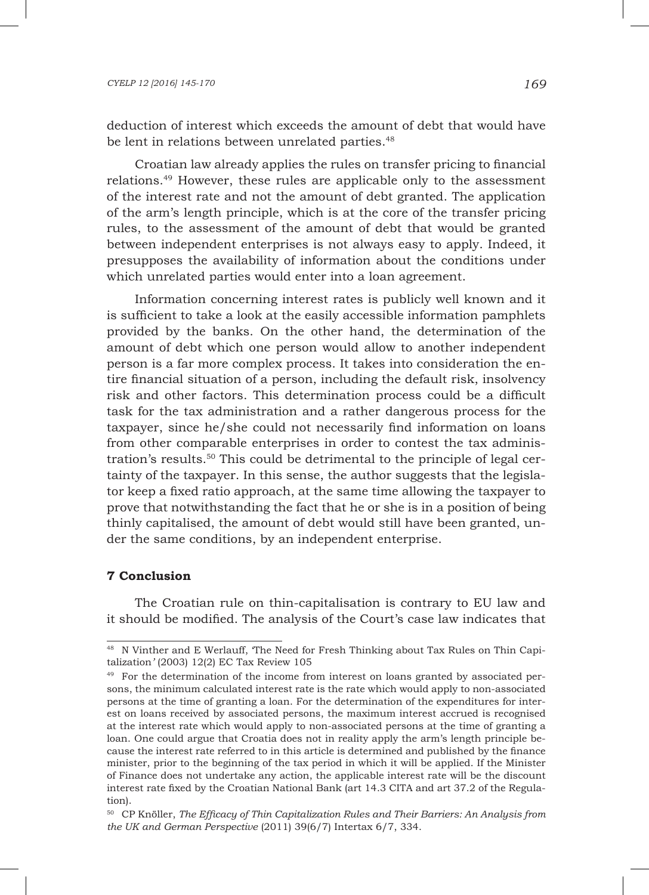#### *CYELP 12 [2016] 145-170 169*

deduction of interest which exceeds the amount of debt that would have be lent in relations between unrelated parties.<sup>48</sup>

Croatian law already applies the rules on transfer pricing to financial relations.49 However, these rules are applicable only to the assessment of the interest rate and not the amount of debt granted. The application of the arm's length principle, which is at the core of the transfer pricing rules, to the assessment of the amount of debt that would be granted between independent enterprises is not always easy to apply. Indeed, it presupposes the availability of information about the conditions under which unrelated parties would enter into a loan agreement.

Information concerning interest rates is publicly well known and it is sufficient to take a look at the easily accessible information pamphlets provided by the banks. On the other hand, the determination of the amount of debt which one person would allow to another independent person is a far more complex process. It takes into consideration the entire financial situation of a person, including the default risk, insolvency risk and other factors. This determination process could be a difficult task for the tax administration and a rather dangerous process for the taxpayer, since he/she could not necessarily find information on loans from other comparable enterprises in order to contest the tax administration's results.<sup>50</sup> This could be detrimental to the principle of legal certainty of the taxpayer. In this sense, the author suggests that the legislator keep a fixed ratio approach, at the same time allowing the taxpayer to prove that notwithstanding the fact that he or she is in a position of being thinly capitalised, the amount of debt would still have been granted, under the same conditions, by an independent enterprise.

#### **7 Conclusion**

The Croatian rule on thin-capitalisation is contrary to EU law and it should be modified. The analysis of the Court's case law indicates that

<sup>&</sup>lt;sup>48</sup> N Vinther and E Werlauff, The Need for Fresh Thinking about Tax Rules on Thin Capitalization*'* (2003) 12(2) EC Tax Review 105

<sup>49</sup> For the determination of the income from interest on loans granted by associated persons, the minimum calculated interest rate is the rate which would apply to non-associated persons at the time of granting a loan. For the determination of the expenditures for interest on loans received by associated persons, the maximum interest accrued is recognised at the interest rate which would apply to non-associated persons at the time of granting a loan. One could argue that Croatia does not in reality apply the arm's length principle because the interest rate referred to in this article is determined and published by the finance minister, prior to the beginning of the tax period in which it will be applied. If the Minister of Finance does not undertake any action, the applicable interest rate will be the discount interest rate fixed by the Croatian National Bank (art 14.3 CITA and art 37.2 of the Regulation).

<sup>50</sup> CP Knöller, *The Efficacy of Thin Capitalization Rules and Their Barriers: An Analysis from the UK and German Perspective* (2011) 39(6/7) Intertax 6/7, 334.